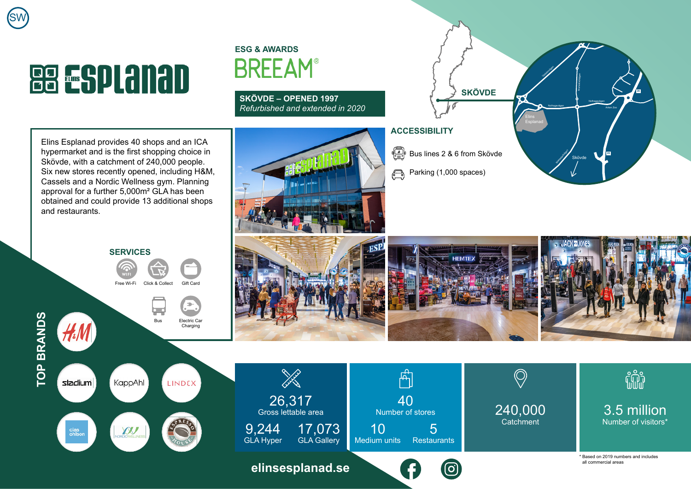## **BB ESPLANAD**

SW

## **ESG & AWARDS BREEAM®**

**SKÖVDE – OPENED 1997** *Refurbished and extended in 2020*

Elins Esplanad provides 40 shops and an ICA hypermarket and is the first shopping choice in Skövde, with a catchment of 240,000 people. Six new stores recently opened, including H&M, Cassels and a Nordic Wellness gym. Planning approval for a further 5,000m² GLA has been obtained and could provide 13 additional shops and restaurants.







17,073 GLA Gallery

26,317 Gross lettable area

**Sold Strain** 

**[elinsesplanad.se](https://www.elinsesplanad.se/)**

9,244 GLA Hyper

## **ACCESSIBILITY**

40

ଟ୍ର

ਸੰ

10

 $\frac{\sqrt{2}}{\sqrt{2}}$  Bus lines 2 & 6 from Skövde

**SKÖVDE**

Parking (1,000 spaces)  $\bigoplus$ 



Skövde

Mariestadvägen

Nolhagavägen Arken Zoo

**26**

**26**

Vadsbougen

Elins Esplanad Nolhagavägen

Mariestadvägen



\* Based on 2019 numbers and includes all commercial areas

fili